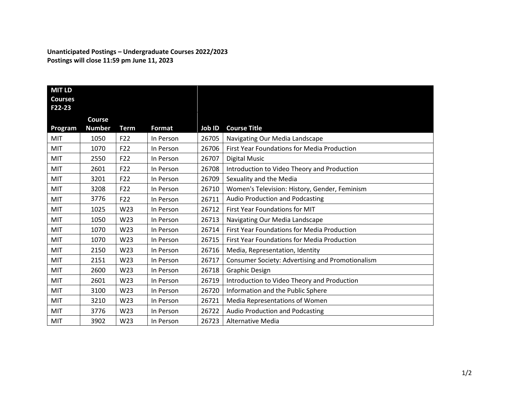**Unanticipated Postings – Undergraduate Courses 2022/2023 Postings will close 11:59 pm June 11, 2023**

| <b>MIT LD</b><br><b>Courses</b><br>F22-23 |                                |                 |           |        |                                                    |
|-------------------------------------------|--------------------------------|-----------------|-----------|--------|----------------------------------------------------|
| Program                                   | <b>Course</b><br><b>Number</b> | <b>Term</b>     | Format    | Job ID | <b>Course Title</b>                                |
| MIT                                       | 1050                           | F22             | In Person | 26705  | Navigating Our Media Landscape                     |
| <b>MIT</b>                                | 1070                           | F22             | In Person | 26706  | <b>First Year Foundations for Media Production</b> |
| MIT                                       | 2550                           | F22             | In Person | 26707  | Digital Music                                      |
| <b>MIT</b>                                | 2601                           | F22             | In Person | 26708  | Introduction to Video Theory and Production        |
| MIT                                       | 3201                           | F22             | In Person | 26709  | Sexuality and the Media                            |
| MIT                                       | 3208                           | F22             | In Person | 26710  | Women's Television: History, Gender, Feminism      |
| MIT                                       | 3776                           | F <sub>22</sub> | In Person | 26711  | Audio Production and Podcasting                    |
| MIT                                       | 1025                           | W23             | In Person | 26712  | First Year Foundations for MIT                     |
| <b>MIT</b>                                | 1050                           | W23             | In Person | 26713  | Navigating Our Media Landscape                     |
| MIT                                       | 1070                           | W23             | In Person | 26714  | First Year Foundations for Media Production        |
| <b>MIT</b>                                | 1070                           | W23             | In Person | 26715  | First Year Foundations for Media Production        |
| MIT                                       | 2150                           | W23             | In Person | 26716  | Media, Representation, Identity                    |
| MIT                                       | 2151                           | W23             | In Person | 26717  | Consumer Society: Advertising and Promotionalism   |
| MIT                                       | 2600                           | W23             | In Person | 26718  | <b>Graphic Design</b>                              |
| MIT                                       | 2601                           | W23             | In Person | 26719  | Introduction to Video Theory and Production        |
| <b>MIT</b>                                | 3100                           | W23             | In Person | 26720  | Information and the Public Sphere                  |
| <b>MIT</b>                                | 3210                           | W23             | In Person | 26721  | Media Representations of Women                     |
| <b>MIT</b>                                | 3776                           | W23             | In Person | 26722  | Audio Production and Podcasting                    |
| MIT                                       | 3902                           | W23             | In Person | 26723  | <b>Alternative Media</b>                           |